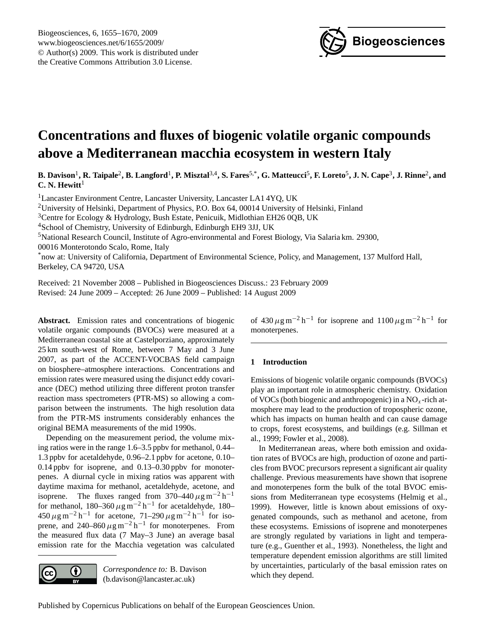

# <span id="page-0-0"></span>**Concentrations and fluxes of biogenic volatile organic compounds above a Mediterranean macchia ecosystem in western Italy**

**B. Davison**<sup>1</sup> **, R. Taipale**<sup>2</sup> **, B. Langford**<sup>1</sup> **, P. Misztal**3,4**, S. Fares**5,\***, G. Matteucci**<sup>5</sup> **, F. Loreto**<sup>5</sup> **, J. N. Cape**<sup>3</sup> **, J. Rinne**<sup>2</sup> **, and**  $C. N.$  Hewitt<sup>1</sup>

<sup>1</sup>Lancaster Environment Centre, Lancaster University, Lancaster LA1 4YQ, UK

<sup>2</sup>University of Helsinki, Department of Physics, P.O. Box 64, 00014 University of Helsinki, Finland

<sup>3</sup>Centre for Ecology & Hydrology, Bush Estate, Penicuik, Midlothian EH26 0QB, UK

<sup>4</sup>School of Chemistry, University of Edinburgh, Edinburgh EH9 3JJ, UK

<sup>5</sup>National Research Council, Institute of Agro-environmental and Forest Biology, Via Salaria km. 29300,

00016 Monterotondo Scalo, Rome, Italy

\*now at: University of California, Department of Environmental Science, Policy, and Management, 137 Mulford Hall, Berkeley, CA 94720, USA

Received: 21 November 2008 – Published in Biogeosciences Discuss.: 23 February 2009 Revised: 24 June 2009 – Accepted: 26 June 2009 – Published: 14 August 2009

**Abstract.** Emission rates and concentrations of biogenic volatile organic compounds (BVOCs) were measured at a Mediterranean coastal site at Castelporziano, approximately 25 km south-west of Rome, between 7 May and 3 June 2007, as part of the ACCENT-VOCBAS field campaign on biosphere–atmosphere interactions. Concentrations and emission rates were measured using the disjunct eddy covariance (DEC) method utilizing three different proton transfer reaction mass spectrometers (PTR-MS) so allowing a comparison between the instruments. The high resolution data from the PTR-MS instruments considerably enhances the original BEMA measurements of the mid 1990s.

Depending on the measurement period, the volume mixing ratios were in the range 1.6–3.5 ppbv for methanol, 0.44– 1.3 ppbv for acetaldehyde, 0.96–2.1 ppbv for acetone, 0.10– 0.14 ppbv for isoprene, and 0.13–0.30 ppbv for monoterpenes. A diurnal cycle in mixing ratios was apparent with daytime maxima for methanol, acetaldehyde, acetone, and isoprene. The fluxes ranged from 370–440  $\mu$ g m<sup>-2</sup> h<sup>-1</sup> for methanol,  $180-360 \,\mu g\,\text{m}^{-2} \text{h}^{-1}$  for acetaldehyde, 180–  $450 \,\mu\text{g m}^{-2}\text{h}^{-1}$  for acetone,  $71-290 \,\mu\text{g m}^{-2}\text{h}^{-1}$  for isoprene, and 240–860  $\mu$ g m<sup>-2</sup> h<sup>-1</sup> for monoterpenes. From the measured flux data (7 May–3 June) an average basal emission rate for the Macchia vegetation was calculated



*Correspondence to:* B. Davison (b.davison@lancaster.ac.uk)

of  $430 \,\mu g \,\text{m}^{-2} \,\text{h}^{-1}$  for isoprene and  $1100 \,\mu g \,\text{m}^{-2} \,\text{h}^{-1}$  for monoterpenes.

# **1 Introduction**

Emissions of biogenic volatile organic compounds (BVOCs) play an important role in atmospheric chemistry. Oxidation of VOCs (both biogenic and anthropogenic) in a  $NO<sub>x</sub>$ -rich atmosphere may lead to the production of tropospheric ozone, which has impacts on human health and can cause damage to crops, forest ecosystems, and buildings (e.g. Sillman et al., 1999; Fowler et al., 2008).

In Mediterranean areas, where both emission and oxidation rates of BVOCs are high, production of ozone and particles from BVOC precursors represent a significant air quality challenge. Previous measurements have shown that isoprene and monoterpenes form the bulk of the total BVOC emissions from Mediterranean type ecosystems (Helmig et al., 1999). However, little is known about emissions of oxygenated compounds, such as methanol and acetone, from these ecosystems. Emissions of isoprene and monoterpenes are strongly regulated by variations in light and temperature (e.g., Guenther et al., 1993). Nonetheless, the light and temperature dependent emission algorithms are still limited by uncertainties, particularly of the basal emission rates on which they depend.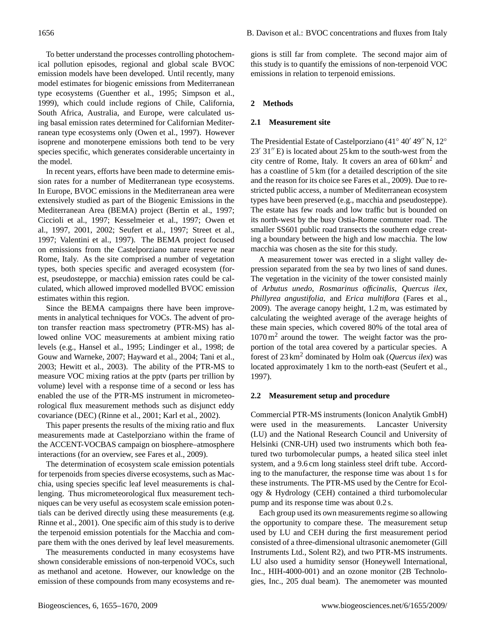To better understand the processes controlling photochemical pollution episodes, regional and global scale BVOC emission models have been developed. Until recently, many model estimates for biogenic emissions from Mediterranean type ecosystems (Guenther et al., 1995; Simpson et al., 1999), which could include regions of Chile, California, South Africa, Australia, and Europe, were calculated using basal emission rates determined for Californian Mediterranean type ecosystems only (Owen et al., 1997). However isoprene and monoterpene emissions both tend to be very species specific, which generates considerable uncertainty in the model.

In recent years, efforts have been made to determine emission rates for a number of Mediterranean type ecosystems. In Europe, BVOC emissions in the Mediterranean area were extensively studied as part of the Biogenic Emissions in the Mediterranean Area (BEMA) project (Bertin et al., 1997; Ciccioli et al., 1997; Kesselmeier et al., 1997; Owen et al., 1997, 2001, 2002; Seufert et al., 1997; Street et al., 1997; Valentini et al., 1997). The BEMA project focused on emissions from the Castelporziano nature reserve near Rome, Italy. As the site comprised a number of vegetation types, both species specific and averaged ecosystem (forest, pseudosteppe, or macchia) emission rates could be calculated, which allowed improved modelled BVOC emission estimates within this region.

Since the BEMA campaigns there have been improvements in analytical techniques for VOCs. The advent of proton transfer reaction mass spectrometry (PTR-MS) has allowed online VOC measurements at ambient mixing ratio levels (e.g., Hansel et al., 1995; Lindinger et al., 1998; de Gouw and Warneke, 2007; Hayward et al., 2004; Tani et al., 2003; Hewitt et al., 2003). The ability of the PTR-MS to measure VOC mixing ratios at the pptv (parts per trillion by volume) level with a response time of a second or less has enabled the use of the PTR-MS instrument in micrometeorological flux measurement methods such as disjunct eddy covariance (DEC) (Rinne et al., 2001; Karl et al., 2002).

This paper presents the results of the mixing ratio and flux measurements made at Castelporziano within the frame of the ACCENT-VOCBAS campaign on biosphere–atmosphere interactions (for an overview, see Fares et al., 2009).

The determination of ecosystem scale emission potentials for terpenoids from species diverse ecosystems, such as Macchia, using species specific leaf level measurements is challenging. Thus micrometeorological flux measurement techniques can be very useful as ecosystem scale emission potentials can be derived directly using these measurements (e.g. Rinne et al., 2001). One specific aim of this study is to derive the terpenoid emission potentials for the Macchia and compare them with the ones derived by leaf level measurements.

The measurements conducted in many ecosystems have shown considerable emissions of non-terpenoid VOCs, such as methanol and acetone. However, our knowledge on the emission of these compounds from many ecosystems and regions is still far from complete. The second major aim of this study is to quantify the emissions of non-terpenoid VOC emissions in relation to terpenoid emissions.

## **2 Methods**

## **2.1 Measurement site**

The Presidential Estate of Castelporziano (41° 40' 49" N, 12°  $23'$  31" E) is located about 25 km to the south-west from the city centre of Rome, Italy. It covers an area of  $60 \text{ km}^2$  and has a coastline of 5 km (for a detailed description of the site and the reason for its choice see Fares et al., 2009). Due to restricted public access, a number of Mediterranean ecosystem types have been preserved (e.g., macchia and pseudosteppe). The estate has few roads and low traffic but is bounded on its north-west by the busy Ostia-Rome commuter road. The smaller SS601 public road transects the southern edge creating a boundary between the high and low macchia. The low macchia was chosen as the site for this study.

A measurement tower was erected in a slight valley depression separated from the sea by two lines of sand dunes. The vegetation in the vicinity of the tower consisted mainly of *Arbutus unedo*, *Rosmarinus officinalis*, *Quercus ilex*, *Phillyrea angustifolia*, and *Erica multiflora* (Fares et al., 2009). The average canopy height, 1.2 m, was estimated by calculating the weighted average of the average heights of these main species, which covered 80% of the total area of 1070 m<sup>2</sup> around the tower. The weight factor was the proportion of the total area covered by a particular species. A forest of 23 km<sup>2</sup> dominated by Holm oak (*Quercus ilex*) was located approximately 1 km to the north-east (Seufert et al., 1997).

#### **2.2 Measurement setup and procedure**

Commercial PTR-MS instruments (Ionicon Analytik GmbH) were used in the measurements. Lancaster University (LU) and the National Research Council and University of Helsinki (CNR-UH) used two instruments which both featured two turbomolecular pumps, a heated silica steel inlet system, and a 9.6 cm long stainless steel drift tube. According to the manufacturer, the response time was about 1 s for these instruments. The PTR-MS used by the Centre for Ecology & Hydrology (CEH) contained a third turbomolecular pump and its response time was about 0.2 s.

Each group used its own measurements regime so allowing the opportunity to compare these. The measurement setup used by LU and CEH during the first measurement period consisted of a three-dimensional ultrasonic anemometer (Gill Instruments Ltd., Solent R2), and two PTR-MS instruments. LU also used a humidity sensor (Honeywell International, Inc., HIH-4000-001) and an ozone monitor (2B Technologies, Inc., 205 dual beam). The anemometer was mounted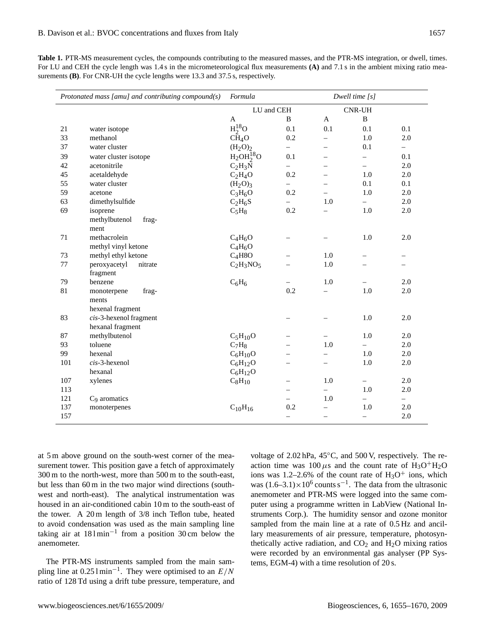**Table 1.** PTR-MS measurement cycles, the compounds contributing to the measured masses, and the PTR-MS integration, or dwell, times. For LU and CEH the cycle length was 1.4 s in the micrometeorological flux measurements **(A)** and 7.1 s in the ambient mixing ratio measurements **(B)**. For CNR-UH the cycle lengths were 13.3 and 37.5 s, respectively.

| Protonated mass [amu] and contributing compound(s) |                           | Formula                         |                          | Dwell time $[s]$  |                          |                          |  |
|----------------------------------------------------|---------------------------|---------------------------------|--------------------------|-------------------|--------------------------|--------------------------|--|
|                                                    |                           | LU and CEH                      |                          |                   | <b>CNR-UH</b>            |                          |  |
|                                                    |                           | A                               | B                        | $\mathbf{A}$      | $\, {\bf B}$             |                          |  |
| 21                                                 | water isotope             | $H_2^{18}O$                     | 0.1                      | 0.1               | 0.1                      | 0.1                      |  |
| 33                                                 | methanol                  | CH <sub>4</sub> O               | 0.2                      | $\equiv$          | 1.0                      | 2.0                      |  |
| 37                                                 | water cluster             | $(H_2O)_2$                      | $\equiv$                 | $\qquad \qquad -$ | 0.1                      | $\overline{\phantom{0}}$ |  |
| 39                                                 | water cluster isotope     | $H2OH218O$                      | 0.1                      |                   | $\overline{\phantom{0}}$ | 0.1                      |  |
| 42                                                 | acetonitrile              | $C_2H_3N$                       | $\overline{\phantom{0}}$ |                   |                          | 2.0                      |  |
| 45                                                 | acetaldehyde              | $C_2H_4O$                       | 0.2                      |                   | 1.0                      | 2.0                      |  |
| 55                                                 | water cluster             | (H <sub>2</sub> O) <sub>3</sub> | $\equiv$                 |                   | 0.1                      | 0.1                      |  |
| 59                                                 | acetone                   | $C_3H_6O$                       | 0.2                      |                   | 1.0                      | 2.0                      |  |
| 63                                                 | dimethylsulfide           | $C_2H_6S$                       |                          | 1.0               | $\equiv$                 | 2.0                      |  |
| 69                                                 | isoprene                  | $C_5H_8$                        | 0.2                      |                   | 1.0                      | 2.0                      |  |
|                                                    | methylbutenol<br>frag-    |                                 |                          |                   |                          |                          |  |
|                                                    | ment                      |                                 |                          |                   |                          |                          |  |
| 71                                                 | methacrolein              | $C_4H_6O$                       |                          |                   | 1.0                      | 2.0                      |  |
|                                                    | methyl vinyl ketone       | $C_4H_6O$                       |                          |                   |                          |                          |  |
| 73                                                 | methyl ethyl ketone       | $C_4H8O$                        |                          | 1.0               |                          | $\overline{\phantom{0}}$ |  |
| 77                                                 | peroxyacetyl<br>nitrate   | $C_2H_3NO_5$                    |                          | 1.0               |                          |                          |  |
|                                                    | fragment                  |                                 |                          |                   |                          |                          |  |
| 79                                                 | benzene                   | $C_6H_6$                        |                          | 1.0               |                          | 2.0                      |  |
| 81                                                 | frag-<br>monoterpene      |                                 | 0.2                      |                   | 1.0                      | 2.0                      |  |
|                                                    | ments                     |                                 |                          |                   |                          |                          |  |
|                                                    | hexenal fragment          |                                 |                          |                   |                          |                          |  |
| 83                                                 | $cis$ -3-hexenol fragment |                                 |                          |                   | $1.0\,$                  | 2.0                      |  |
|                                                    | hexanal fragment          |                                 |                          |                   |                          |                          |  |
| 87                                                 | methylbutenol             | $C_5H_{10}O$                    |                          |                   | 1.0                      | 2.0                      |  |
| 93                                                 | toluene                   | $C_7H_8$                        |                          | 1.0               |                          | 2.0                      |  |
| 99                                                 | hexenal                   | $C_6H_{10}O$                    |                          |                   | 1.0                      | 2.0                      |  |
| 101                                                | $cis$ -3-hexenol          | $C_6H_{12}O$                    |                          |                   | 1.0                      | 2.0                      |  |
|                                                    | hexanal                   | $C_6H_{12}O$                    |                          |                   |                          |                          |  |
| 107                                                | xylenes                   | $C_8H_{10}$                     |                          | 1.0               | $\overline{\phantom{0}}$ | 2.0                      |  |
| 113                                                |                           |                                 |                          |                   | 1.0                      | 2.0                      |  |
| 121                                                | C <sub>9</sub> aromatics  |                                 |                          | 1.0               |                          | $\overline{\phantom{0}}$ |  |
| 137                                                | monoterpenes              | $C_{10}H_{16}$                  | 0.2                      |                   | 1.0                      | 2.0                      |  |
| 157                                                |                           |                                 | $\overline{\phantom{0}}$ | $\equiv$          | $\equiv$                 | 2.0                      |  |

at 5 m above ground on the south-west corner of the measurement tower. This position gave a fetch of approximately 300 m to the north-west, more than 500 m to the south-east, but less than 60 m in the two major wind directions (southwest and north-east). The analytical instrumentation was housed in an air-conditioned cabin 10 m to the south-east of the tower. A 20 m length of 3/8 inch Teflon tube, heated to avoid condensation was used as the main sampling line taking air at  $181$  min<sup>-1</sup> from a position 30 cm below the anemometer.

The PTR-MS instruments sampled from the main sampling line at  $0.251 \text{min}^{-1}$ . They were optimised to an  $E/N$ ratio of 128 Td using a drift tube pressure, temperature, and voltage of 2.02 hPa, 45◦C, and 500 V, respectively. The reaction time was  $100 \mu s$  and the count rate of  $H_3O^+H_2O$ ions was 1.2–2.6% of the count rate of  $H_3O^+$  ions, which was  $(1.6-3.1) \times 10^6$  counts s<sup>-1</sup>. The data from the ultrasonic anemometer and PTR-MS were logged into the same computer using a programme written in LabView (National Instruments Corp.). The humidity sensor and ozone monitor sampled from the main line at a rate of 0.5 Hz and ancillary measurements of air pressure, temperature, photosynthetically active radiation, and  $CO<sub>2</sub>$  and  $H<sub>2</sub>O$  mixing ratios were recorded by an environmental gas analyser (PP Systems, EGM-4) with a time resolution of 20 s.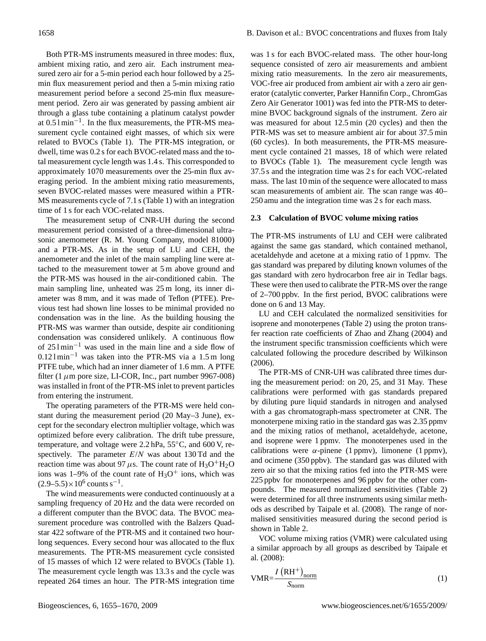Both PTR-MS instruments measured in three modes: flux, ambient mixing ratio, and zero air. Each instrument measured zero air for a 5-min period each hour followed by a 25 min flux measurement period and then a 5-min mixing ratio measurement period before a second 25-min flux measurement period. Zero air was generated by passing ambient air through a glass tube containing a platinum catalyst powder at 0.5 l min−<sup>1</sup> . In the flux measurements, the PTR-MS measurement cycle contained eight masses, of which six were related to BVOCs (Table 1). The PTR-MS integration, or dwell, time was 0.2 s for each BVOC-related mass and the total measurement cycle length was 1.4 s. This corresponded to approximately 1070 measurements over the 25-min flux averaging period. In the ambient mixing ratio measurements, seven BVOC-related masses were measured within a PTR-MS measurements cycle of 7.1 s (Table 1) with an integration time of 1 s for each VOC-related mass.

The measurement setup of CNR-UH during the second measurement period consisted of a three-dimensional ultrasonic anemometer (R. M. Young Company, model 81000) and a PTR-MS. As in the setup of LU and CEH, the anemometer and the inlet of the main sampling line were attached to the measurement tower at 5 m above ground and the PTR-MS was housed in the air-conditioned cabin. The main sampling line, unheated was 25 m long, its inner diameter was 8 mm, and it was made of Teflon (PTFE). Previous test had shown line losses to be minimal provided no condensation was in the line. As the building housing the PTR-MS was warmer than outside, despite air conditioning condensation was considered unlikely. A continuous flow of 25 l min−<sup>1</sup> was used in the main line and a side flow of 0.12 l min−<sup>1</sup> was taken into the PTR-MS via a 1.5 m long PTFE tube, which had an inner diameter of 1.6 mm. A PTFE filter (1 $\mu$ m pore size, LI-COR, Inc., part number 9967-008) was installed in front of the PTR-MS inlet to prevent particles from entering the instrument.

The operating parameters of the PTR-MS were held constant during the measurement period (20 May–3 June), except for the secondary electron multiplier voltage, which was optimized before every calibration. The drift tube pressure, temperature, and voltage were 2.2 hPa, 55◦C, and 600 V, respectively. The parameter  $E/N$  was about 130 Td and the reaction time was about 97  $\mu$ s. The count rate of H<sub>3</sub>O<sup>+</sup>H<sub>2</sub>O ions was 1–9% of the count rate of  $H_3O^+$  ions, which was  $(2.9-5.5) \times 10^6$  counts s<sup>-1</sup>.

The wind measurements were conducted continuously at a sampling frequency of 20 Hz and the data were recorded on a different computer than the BVOC data. The BVOC measurement procedure was controlled with the Balzers Quadstar 422 software of the PTR-MS and it contained two hourlong sequences. Every second hour was allocated to the flux measurements. The PTR-MS measurement cycle consisted of 15 masses of which 12 were related to BVOCs (Table 1). The measurement cycle length was 13.3 s and the cycle was repeated 264 times an hour. The PTR-MS integration time was 1 s for each BVOC-related mass. The other hour-long sequence consisted of zero air measurements and ambient mixing ratio measurements. In the zero air measurements, VOC-free air produced from ambient air with a zero air generator (catalytic converter, Parker Hannifin Corp., ChromGas Zero Air Generator 1001) was fed into the PTR-MS to determine BVOC background signals of the instrument. Zero air was measured for about 12.5 min (20 cycles) and then the PTR-MS was set to measure ambient air for about 37.5 min (60 cycles). In both measurements, the PTR-MS measurement cycle contained 21 masses, 18 of which were related to BVOCs (Table 1). The measurement cycle length was 37.5 s and the integration time was 2 s for each VOC-related mass. The last 10 min of the sequence were allocated to mass scan measurements of ambient air. The scan range was 40– 250 amu and the integration time was 2 s for each mass.

## **2.3 Calculation of BVOC volume mixing ratios**

The PTR-MS instruments of LU and CEH were calibrated against the same gas standard, which contained methanol, acetaldehyde and acetone at a mixing ratio of 1 ppmv. The gas standard was prepared by diluting known volumes of the gas standard with zero hydrocarbon free air in Tedlar bags. These were then used to calibrate the PTR-MS over the range of 2–700 ppbv. In the first period, BVOC calibrations were done on 6 and 13 May.

LU and CEH calculated the normalized sensitivities for isoprene and monoterpenes (Table 2) using the proton transfer reaction rate coefficients of Zhao and Zhang (2004) and the instrument specific transmission coefficients which were calculated following the procedure described by Wilkinson (2006).

The PTR-MS of CNR-UH was calibrated three times during the measurement period: on 20, 25, and 31 May. These calibrations were performed with gas standards prepared by diluting pure liquid standards in nitrogen and analysed with a gas chromatograph-mass spectrometer at CNR. The monoterpene mixing ratio in the standard gas was 2.35 ppmv and the mixing ratios of methanol, acetaldehyde, acetone, and isoprene were 1 ppmv. The monoterpenes used in the calibrations were  $\alpha$ -pinene (1 ppmv), limonene (1 ppmv), and ocimene (350 ppbv). The standard gas was diluted with zero air so that the mixing ratios fed into the PTR-MS were 225 ppbv for monoterpenes and 96 ppbv for the other compounds. The measured normalized sensitivities (Table 2) were determined for all three instruments using similar methods as described by Taipale et al. (2008). The range of normalised sensitivities measured during the second period is shown in Table 2.

VOC volume mixing ratios (VMR) were calculated using a similar approach by all groups as described by Taipale et al. (2008):

$$
VMR = \frac{I (RH^{+})_{norm}}{S_{norm}}
$$
 (1)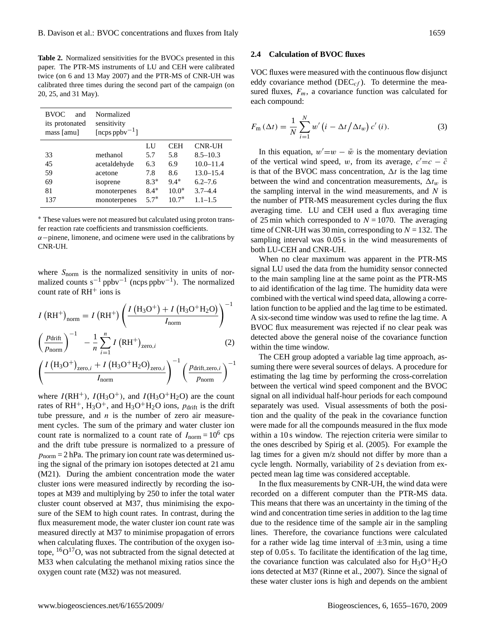**Table 2.** Normalized sensitivities for the BVOCs presented in this paper. The PTR-MS instruments of LU and CEH were calibrated twice (on 6 and 13 May 2007) and the PTR-MS of CNR-UH was calibrated three times during the second part of the campaign (on 20, 25, and 31 May).

| <b>BVOC</b><br>and<br>its protonated<br>mass [amu] | Normalized<br>sensitivity<br>[ncps ppby <sup>-1</sup> ] |        |            |               |
|----------------------------------------------------|---------------------------------------------------------|--------|------------|---------------|
|                                                    |                                                         | IJ     | <b>CEH</b> | <b>CNR-UH</b> |
| 33                                                 | methanol                                                | 5.7    | 5.8        | $8.5 - 10.3$  |
| 45                                                 | acetaldehyde                                            | 6.3    | 6.9        | $10.0 - 11.4$ |
| 59                                                 | acetone                                                 | 7.8    | 8.6        | $13.0 - 15.4$ |
| 69                                                 | isoprene                                                | $8.3*$ | $9.4*$     | $6.2 - 7.6$   |
| 81                                                 | monoterpenes                                            | $8.4*$ | $10.0*$    | $3.7 - 4.4$   |
| 137                                                | monoterpenes                                            | $5.7*$ | $10.7*$    | $1.1 - 1.5$   |

<sup>∗</sup> These values were not measured but calculated using proton transfer reaction rate coefficients and transmission coefficients.

 $\alpha$ −pinene, limonene, and ocimene were used in the calibrations by CNR-UH.

where  $S_{\text{norm}}$  is the normalized sensitivity in units of normalized counts  $s^{-1}$  ppbv<sup>-1</sup> (ncps ppbv<sup>-1</sup>). The normalized count rate of  $RH^+$  ions is

$$
I (RH^{+})_{\text{norm}} = I (RH^{+}) \left( \frac{I (H_{3}O^{+}) + I (H_{3}O^{+}H_{2}O)}{I_{\text{norm}}} \right)^{-1}
$$

$$
\left( \frac{p_{\text{drift}}}{p_{\text{norm}}} \right)^{-1} - \frac{1}{n} \sum_{i=1}^{n} I (RH^{+})_{\text{zero}, i}
$$
(2)

$$
\left(\frac{P_{\text{atm}}}{p_{\text{norm}}}\right) \quad -\frac{1}{n} \sum_{i=1}^{n} I\left(\text{RH}^{+}\right)_{\text{zero},i} \tag{2}
$$
\n
$$
\left(I\left(\text{H}_{3}\text{O}^{+}\right)_{\text{zero},i} + I\left(\text{H}_{3}\text{O}^{+}\text{H}_{2}\text{O}\right)_{\text{zero},i}\right)^{-1} \left(P_{\text{drift},\text{zero},i}\right)^{-1}
$$

$$
\left(\frac{I\left(\text{H}_3\text{O}^+\right)_{\text{zero},i} + I\left(\text{H}_3\text{O}^+\text{H}_2\text{O}\right)_{\text{zero},i}}{I_{\text{norm}}}\right)^{-1}\left(\frac{p_{\text{drift},\text{zero},i}}{p_{\text{norm}}}\right)^{-1}
$$

where  $I(RH^+), I(H_3O^+),$  and  $I(H_3O^+H_2O)$  are the count rates of RH<sup>+</sup>,  $H_3O^+$ , and  $H_3O^+H_2O$  ions,  $p_{drift}$  is the drift tube pressure, and  $n$  is the number of zero air measurement cycles. The sum of the primary and water cluster ion count rate is normalized to a count rate of  $I_{\text{norm}} = 10^6$  cps and the drift tube pressure is normalized to a pressure of  $p_{\text{norm}} = 2$  hPa. The primary ion count rate was determined using the signal of the primary ion isotopes detected at 21 amu (M21). During the ambient concentration mode the water cluster ions were measured indirectly by recording the isotopes at M39 and multiplying by 250 to infer the total water cluster count observed at M37, thus minimising the exposure of the SEM to high count rates. In contrast, during the flux measurement mode, the water cluster ion count rate was measured directly at M37 to minimise propagation of errors when calculating fluxes. The contribution of the oxygen isotope,  ${}^{16}O$ <sup>17</sup>O, was not subtracted from the signal detected at M33 when calculating the methanol mixing ratios since the oxygen count rate (M32) was not measured.

#### **2.4 Calculation of BVOC fluxes**

VOC fluxes were measured with the continuous flow disjunct eddy covariance method (DEC<sub>cf</sub>). To determine the measured fluxes,  $F_m$ , a covariance function was calculated for each compound:

$$
F_{\rm m} \left( \Delta t \right) = \frac{1}{N} \sum_{i=1}^{N} w' \left( i - \Delta t / \Delta t_w \right) c' \left( i \right). \tag{3}
$$

In this equation,  $w' = w - \bar{w}$  is the momentary deviation of the vertical wind speed, w, from its average,  $c' = c - \bar{c}$ is that of the BVOC mass concentration,  $\Delta t$  is the lag time between the wind and concentration measurements,  $\Delta t_w$  is the sampling interval in the wind measurements, and  $N$  is the number of PTR-MS measurement cycles during the flux averaging time. LU and CEH used a flux averaging time of 25 min which corresponded to  $N = 1070$ . The averaging time of CNR-UH was 30 min, corresponding to  $N = 132$ . The sampling interval was  $0.05 s$  in the wind measurements of both LU-CEH and CNR-UH.

When no clear maximum was apparent in the PTR-MS signal LU used the data from the humidity sensor connected to the main sampling line at the same point as the PTR-MS to aid identification of the lag time. The humidity data were combined with the vertical wind speed data, allowing a correlation function to be applied and the lag time to be estimated. A six-second time window was used to refine the lag time. A BVOC flux measurement was rejected if no clear peak was detected above the general noise of the covariance function within the time window.

The CEH group adopted a variable lag time approach, assuming there were several sources of delays. A procedure for estimating the lag time by performing the cross-correlation between the vertical wind speed component and the BVOC signal on all individual half-hour periods for each compound separately was used. Visual assessments of both the position and the quality of the peak in the covariance function were made for all the compounds measured in the flux mode within a 10 s window. The rejection criteria were similar to the ones described by Spirig et al. (2005). For example the lag times for a given m/z should not differ by more than a cycle length. Normally, variability of 2 s deviation from expected mean lag time was considered acceptable.

In the flux measurements by CNR-UH, the wind data were recorded on a different computer than the PTR-MS data. This means that there was an uncertainty in the timing of the wind and concentration time series in addition to the lag time due to the residence time of the sample air in the sampling lines. Therefore, the covariance functions were calculated for a rather wide lag time interval of  $\pm 3$  min, using a time step of 0.05 s. To facilitate the identification of the lag time, the covariance function was calculated also for  $H_3O^+H_2O$ ions detected at M37 (Rinne et al., 2007). Since the signal of these water cluster ions is high and depends on the ambient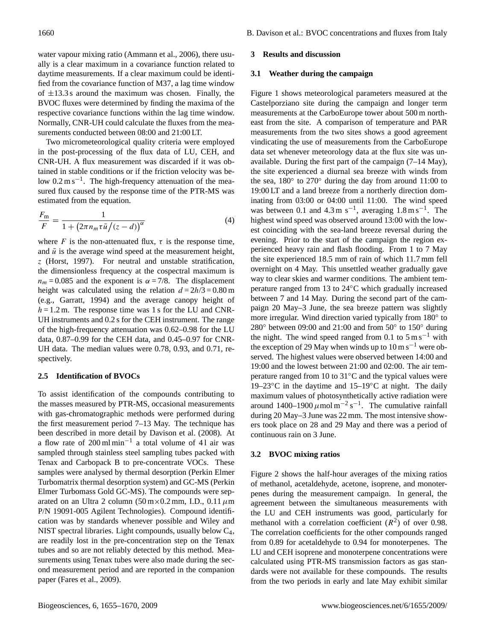water vapour mixing ratio (Ammann et al., 2006), there usually is a clear maximum in a covariance function related to daytime measurements. If a clear maximum could be identified from the covariance function of M37, a lag time window of  $\pm$ 13.3 s around the maximum was chosen. Finally, the BVOC fluxes were determined by finding the maxima of the respective covariance functions within the lag time window. Normally, CNR-UH could calculate the fluxes from the measurements conducted between 08:00 and 21:00 LT.

Two micrometeorological quality criteria were employed in the post-processing of the flux data of LU, CEH, and CNR-UH. A flux measurement was discarded if it was obtained in stable conditions or if the friction velocity was below 0.2 m s<sup>-1</sup>. The high-frequency attenuation of the measured flux caused by the response time of the PTR-MS was estimated from the equation.

$$
\frac{F_{\rm m}}{F} = \frac{1}{1 + \left(2\pi n_m \tau \bar{u}/(z - d)\right)^{\alpha}}
$$
(4)

where F is the non-attenuated flux,  $\tau$  is the response time, and  $\bar{u}$  is the average wind speed at the measurement height, z (Horst, 1997). For neutral and unstable stratification, the dimensionless frequency at the cospectral maximum is  $n_m = 0.085$  and the exponent is  $\alpha = 7/8$ . The displacement height was calculated using the relation  $d = 2h/3 = 0.80$  m (e.g., Garratt, 1994) and the average canopy height of  $h = 1.2$  m. The response time was 1 s for the LU and CNR-UH instruments and 0.2 s for the CEH instrument. The range of the high-frequency attenuation was 0.62–0.98 for the LU data, 0.87–0.99 for the CEH data, and 0.45–0.97 for CNR-UH data. The median values were 0.78, 0.93, and 0.71, respectively.

## **2.5 Identification of BVOCs**

To assist identification of the compounds contributing to the masses measured by PTR-MS, occasional measurements with gas-chromatographic methods were performed during the first measurement period 7–13 May. The technique has been described in more detail by Davison et al. (2008). At a flow rate of 200 ml min<sup>-1</sup> a total volume of 41 air was sampled through stainless steel sampling tubes packed with Tenax and Carbopack B to pre-concentrate VOCs. These samples were analysed by thermal desorption (Perkin Elmer Turbomatrix thermal desorption system) and GC-MS (Perkin Elmer Turbomass Gold GC-MS). The compounds were separated on an Ultra 2 column  $(50 \text{ m} \times 0.2 \text{ mm}, \text{ I.D., } 0.11 \mu \text{m})$ P/N 19091-005 Agilent Technologies). Compound identification was by standards whenever possible and Wiley and NIST spectral libraries. Light compounds, usually below C4, are readily lost in the pre-concentration step on the Tenax tubes and so are not reliably detected by this method. Measurements using Tenax tubes were also made during the second measurement period and are reported in the companion paper (Fares et al., 2009).

#### **3 Results and discussion**

#### **3.1 Weather during the campaign**

Figure 1 shows meteorological parameters measured at the Castelporziano site during the campaign and longer term measurements at the CarboEurope tower about 500 m northeast from the site. A comparison of temperature and PAR measurements from the two sites shows a good agreement vindicating the use of measurements from the CarboEurope data set whenever meteorology data at the flux site was unavailable. During the first part of the campaign (7–14 May), the site experienced a diurnal sea breeze with winds from the sea, 180◦ to 270◦ during the day from around 11:00 to 19:00 LT and a land breeze from a northerly direction dominating from 03:00 or 04:00 until 11:00. The wind speed was between 0.1 and  $4.3 \text{ m s}^{-1}$ , averaging  $1.8 \text{ m s}^{-1}$ . The highest wind speed was observed around 13:00 with the lowest coinciding with the sea-land breeze reversal during the evening. Prior to the start of the campaign the region experienced heavy rain and flash flooding. From 1 to 7 May the site experienced 18.5 mm of rain of which 11.7 mm fell overnight on 4 May. This unsettled weather gradually gave way to clear skies and warmer conditions. The ambient temperature ranged from 13 to 24◦C which gradually increased between 7 and 14 May. During the second part of the campaign 20 May–3 June, the sea breeze pattern was slightly more irregular. Wind direction varied typically from 180° to 280° between 09:00 and 21:00 and from 50° to 150° during the night. The wind speed ranged from 0.1 to  $5 \text{ m s}^{-1}$  with the exception of 29 May when winds up to  $10 \text{ m s}^{-1}$  were observed. The highest values were observed between 14:00 and 19:00 and the lowest between 21:00 and 02:00. The air temperature ranged from 10 to 31◦C and the typical values were 19–23 $°C$  in the daytime and 15–19 $°C$  at night. The daily maximum values of photosynthetically active radiation were around 1400–1900  $\mu$ mol m<sup>-2</sup> s<sup>-1</sup>. The cumulative rainfall during 20 May–3 June was 22 mm. The most intensive showers took place on 28 and 29 May and there was a period of continuous rain on 3 June.

#### **3.2 BVOC mixing ratios**

Figure 2 shows the half-hour averages of the mixing ratios of methanol, acetaldehyde, acetone, isoprene, and monoterpenes during the measurement campaign. In general, the agreement between the simultaneous measurements with the LU and CEH instruments was good, particularly for methanol with a correlation coefficient  $(R^2)$  of over 0.98. The correlation coefficients for the other compounds ranged from 0.89 for acetaldehyde to 0.94 for monoterpenes. The LU and CEH isoprene and monoterpene concentrations were calculated using PTR-MS transmission factors as gas standards were not available for these compounds. The results from the two periods in early and late May exhibit similar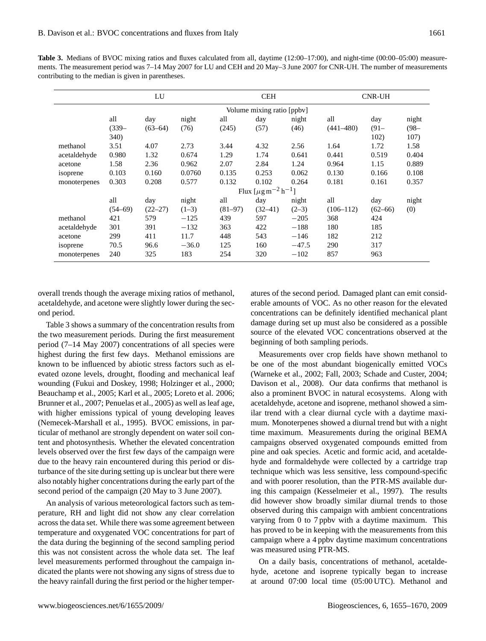**Table 3.** Medians of BVOC mixing ratios and fluxes calculated from all, daytime (12:00–17:00), and night-time (00:00–05:00) measurements. The measurement period was 7–14 May 2007 for LU and CEH and 20 May–3 June 2007 for CNR-UH. The number of measurements contributing to the median is given in parentheses.

|              | LU                           |             |         |           | <b>CEH</b> |         | <b>CNR-UH</b> |             |         |
|--------------|------------------------------|-------------|---------|-----------|------------|---------|---------------|-------------|---------|
|              | Volume mixing ratio [ppbv]   |             |         |           |            |         |               |             |         |
|              | all                          | day         | night   | all       | day        | night   | all           | day         | night   |
|              | $(339 -$                     | $(63 - 64)$ | (76)    | (245)     | (57)       | (46)    | $(441 - 480)$ | $(91 -$     | $(98 -$ |
|              | 340)                         |             |         |           |            |         |               | 102)        | 107)    |
| methanol     | 3.51                         | 4.07        | 2.73    | 3.44      | 4.32       | 2.56    | 1.64          | 1.72        | 1.58    |
| acetaldehyde | 0.980                        | 1.32        | 0.674   | 1.29      | 1.74       | 0.641   | 0.441         | 0.519       | 0.404   |
| acetone      | 1.58                         | 2.36        | 0.962   | 2.07      | 2.84       | 1.24    | 0.964         | 1.15        | 0.889   |
| isoprene     | 0.103                        | 0.160       | 0.0760  | 0.135     | 0.253      | 0.062   | 0.130         | 0.166       | 0.108   |
| monoterpenes | 0.303                        | 0.208       | 0.577   | 0.132     | 0.102      | 0.264   | 0.181         | 0.161       | 0.357   |
|              | Flux $[\mu g m^{-2} h^{-1}]$ |             |         |           |            |         |               |             |         |
|              | all                          | day         | night   | all       | day        | night   | all           | day         | night   |
|              | $(54 - 69)$                  | $(22 - 27)$ | $(1-3)$ | $(81-97)$ | $(32-41)$  | $(2-3)$ | $(106 - 112)$ | $(62 - 66)$ | (0)     |
| methanol     | 421                          | 579         | $-125$  | 439       | 597        | $-205$  | 368           | 424         |         |
| acetaldehyde | 301                          | 391         | $-132$  | 363       | 422        | $-188$  | 180           | 185         |         |
| acetone      | 299                          | 411         | 11.7    | 448       | 543        | $-146$  | 182           | 212         |         |
| isoprene     | 70.5                         | 96.6        | $-36.0$ | 125       | 160        | $-47.5$ | 290           | 317         |         |
| monoterpenes | 240                          | 325         | 183     | 254       | 320        | $-102$  | 857           | 963         |         |

overall trends though the average mixing ratios of methanol, acetaldehyde, and acetone were slightly lower during the second period.

Table 3 shows a summary of the concentration results from the two measurement periods. During the first measurement period (7–14 May 2007) concentrations of all species were highest during the first few days. Methanol emissions are known to be influenced by abiotic stress factors such as elevated ozone levels, drought, flooding and mechanical leaf wounding (Fukui and Doskey, 1998; Holzinger et al., 2000; Beauchamp et al., 2005; Karl et al., 2005; Loreto et al. 2006; Brunner et al., 2007; Penuelas et al., 2005) as well as leaf age, with higher emissions typical of young developing leaves (Nemecek-Marshall et al., 1995). BVOC emissions, in particular of methanol are strongly dependent on water soil content and photosynthesis. Whether the elevated concentration levels observed over the first few days of the campaign were due to the heavy rain encountered during this period or disturbance of the site during setting up is unclear but there were also notably higher concentrations during the early part of the second period of the campaign (20 May to 3 June 2007).

An analysis of various meteorological factors such as temperature, RH and light did not show any clear correlation across the data set. While there was some agreement between temperature and oxygenated VOC concentrations for part of the data during the beginning of the second sampling period this was not consistent across the whole data set. The leaf level measurements performed throughout the campaign indicated the plants were not showing any signs of stress due to the heavy rainfall during the first period or the higher temperatures of the second period. Damaged plant can emit considerable amounts of VOC. As no other reason for the elevated concentrations can be definitely identified mechanical plant damage during set up must also be considered as a possible source of the elevated VOC concentrations observed at the beginning of both sampling periods.

Measurements over crop fields have shown methanol to be one of the most abundant biogenically emitted VOCs (Warneke et al., 2002; Fall, 2003; Schade and Custer, 2004; Davison et al., 2008). Our data confirms that methanol is also a prominent BVOC in natural ecosystems. Along with acetaldehyde, acetone and isoprene, methanol showed a similar trend with a clear diurnal cycle with a daytime maximum. Monoterpenes showed a diurnal trend but with a night time maximum. Measurements during the original BEMA campaigns observed oxygenated compounds emitted from pine and oak species. Acetic and formic acid, and acetaldehyde and formaldehyde were collected by a cartridge trap technique which was less sensitive, less compound-specific and with poorer resolution, than the PTR-MS available during this campaign (Kesselmeier et al., 1997). The results did however show broadly similar diurnal trends to those observed during this campaign with ambient concentrations varying from 0 to 7 ppbv with a daytime maximum. This has proved to be in keeping with the measurements from this campaign where a 4 ppbv daytime maximum concentrations was measured using PTR-MS.

On a daily basis, concentrations of methanol, acetaldehyde, acetone and isoprene typically began to increase at around 07:00 local time (05:00 UTC). Methanol and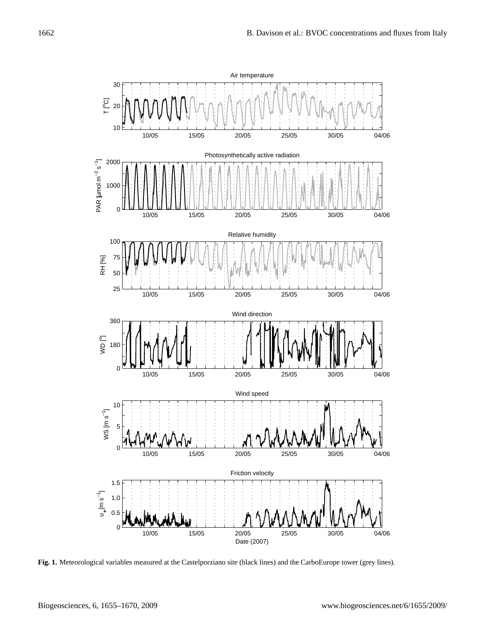

**Fig. 1.** Meteorological variables measured at the Castelporziano site (black lines) and the CarboEurope tower (grey lines).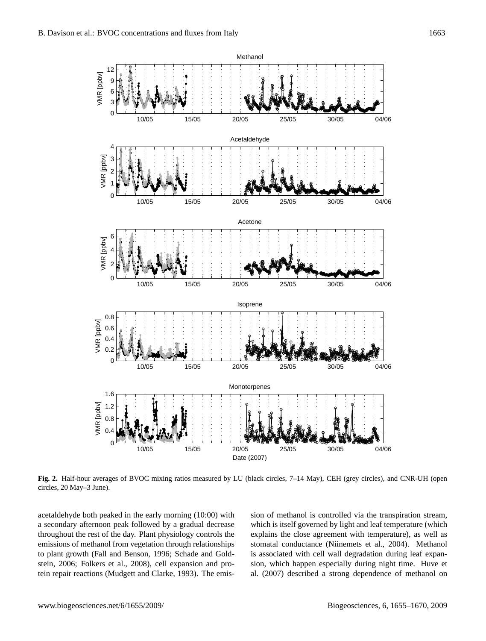

**Fig. 2.** Half-hour averages of BVOC mixing ratios measured by LU (black circles, 7–14 May), CEH (grey circles), and CNR-UH (open circles, 20 May–3 June).

acetaldehyde both peaked in the early morning (10:00) with a secondary afternoon peak followed by a gradual decrease throughout the rest of the day. Plant physiology controls the emissions of methanol from vegetation through relationships to plant growth (Fall and Benson, 1996; Schade and Goldstein, 2006; Folkers et al., 2008), cell expansion and protein repair reactions (Mudgett and Clarke, 1993). The emission of methanol is controlled via the transpiration stream, which is itself governed by light and leaf temperature (which explains the close agreement with temperature), as well as stomatal conductance (Niinemets et al., 2004). Methanol is associated with cell wall degradation during leaf expansion, which happen especially during night time. Huve et al. (2007) described a strong dependence of methanol on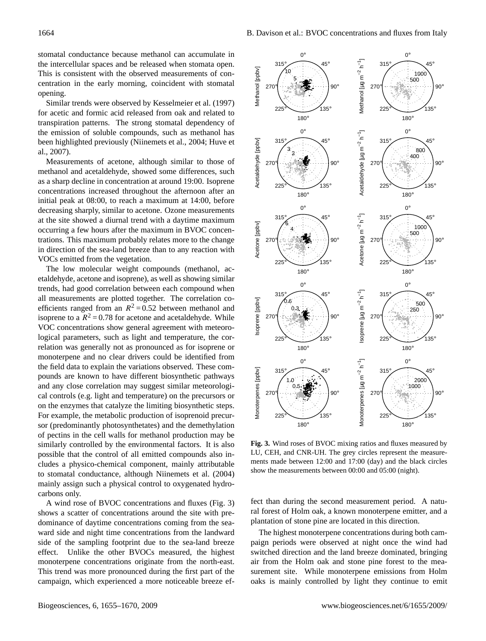stomatal conductance because methanol can accumulate in the intercellular spaces and be released when stomata open. This is consistent with the observed measurements of concentration in the early morning, coincident with stomatal opening.

Similar trends were observed by Kesselmeier et al. (1997) for acetic and formic acid released from oak and related to transpiration patterns. The strong stomatal dependency of the emission of soluble compounds, such as methanol has been highlighted previously (Niinemets et al., 2004; Huve et al., 2007).

Measurements of acetone, although similar to those of methanol and acetaldehyde, showed some differences, such as a sharp decline in concentration at around 19:00. Isoprene concentrations increased throughout the afternoon after an initial peak at 08:00, to reach a maximum at 14:00, before decreasing sharply, similar to acetone. Ozone measurements at the site showed a diurnal trend with a daytime maximum occurring a few hours after the maximum in BVOC concentrations. This maximum probably relates more to the change in direction of the sea-land breeze than to any reaction with VOCs emitted from the vegetation.

The low molecular weight compounds (methanol, acetaldehyde, acetone and isoprene), as well as showing similar trends, had good correlation between each compound when all measurements are plotted together. The correlation coefficients ranged from an  $R^2 = 0.52$  between methanol and isoprene to a  $R^2 = 0.78$  for acetone and acetaldehyde. While VOC concentrations show general agreement with meteorological parameters, such as light and temperature, the correlation was generally not as pronounced as for isoprene or monoterpene and no clear drivers could be identified from the field data to explain the variations observed. These compounds are known to have different biosynthetic pathways and any close correlation may suggest similar meteorological controls (e.g. light and temperature) on the precursors or on the enzymes that catalyze the limiting biosynthetic steps. For example, the metabolic production of isoprenoid precursor (predominantly photosynthetates) and the demethylation of pectins in the cell walls for methanol production may be similarly controlled by the environmental factors. It is also possible that the control of all emitted compounds also includes a physico-chemical component, mainly attributable to stomatal conductance, although Niinemets et al. (2004) mainly assign such a physical control to oxygenated hydrocarbons only. This is consistent with the observed measurements of con-<br>
Finaristic content in the carly morning, coincident with stomal  $\frac{5}{2}$ <br>
contential means were propared by Kessellmeier er al. (1997)<br>
Tor accite and formic aci

A wind rose of BVOC concentrations and fluxes (Fig. 3) shows a scatter of concentrations around the site with predominance of daytime concentrations coming from the seaward side and night time concentrations from the landward side of the sampling footprint due to the sea-land breeze effect. Unlike the other BVOCs measured, the highest monoterpene concentrations originate from the north-east. This trend was more pronounced during the first part of the



**Fig. 3.** Wind roses of BVOC mixing ratios and fluxes measured by LU, CEH, and CNR-UH. The grey circles represent the measurements made between 12:00 and 17:00 (day) and the black circles show the measurements between 00:00 and 05:00 (night).

fect than during the second measurement period. A natural forest of Holm oak, a known monoterpene emitter, and a plantation of stone pine are located in this direction.

The highest monoterpene concentrations during both campaign periods were observed at night once the wind had switched direction and the land breeze dominated, bringing air from the Holm oak and stone pine forest to the measurement site. While monoterpene emissions from Holm oaks is mainly controlled by light they continue to emit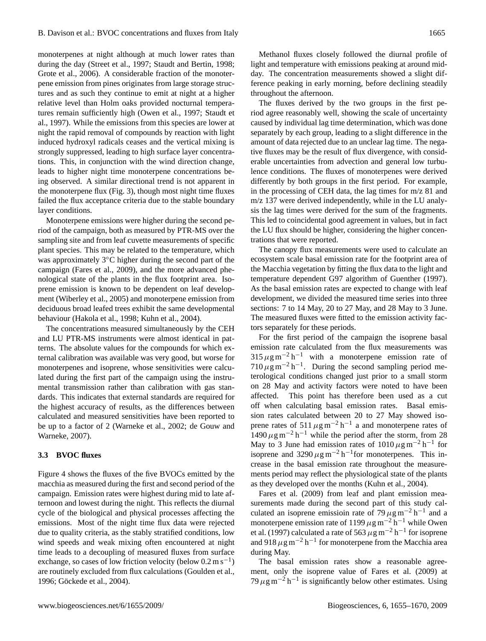monoterpenes at night although at much lower rates than during the day (Street et al., 1997; Staudt and Bertin, 1998; Grote et al., 2006). A considerable fraction of the monoterpene emission from pines originates from large storage structures and as such they continue to emit at night at a higher relative level than Holm oaks provided nocturnal temperatures remain sufficiently high (Owen et al., 1997; Staudt et al., 1997). While the emissions from this species are lower at night the rapid removal of compounds by reaction with light induced hydroxyl radicals ceases and the vertical mixing is strongly suppressed, leading to high surface layer concentrations. This, in conjunction with the wind direction change, leads to higher night time monoterpene concentrations being observed. A similar directional trend is not apparent in the monoterpene flux (Fig. 3), though most night time fluxes failed the flux acceptance criteria due to the stable boundary layer conditions.

Monoterpene emissions were higher during the second period of the campaign, both as measured by PTR-MS over the sampling site and from leaf cuvette measurements of specific plant species. This may be related to the temperature, which was approximately 3◦C higher during the second part of the campaign (Fares et al., 2009), and the more advanced phenological state of the plants in the flux footprint area. Isoprene emission is known to be dependent on leaf development (Wiberley et al., 2005) and monoterpene emission from deciduous broad leafed trees exhibit the same developmental behaviour (Hakola et al., 1998; Kuhn et al., 2004).

The concentrations measured simultaneously by the CEH and LU PTR-MS instruments were almost identical in patterns. The absolute values for the compounds for which external calibration was available was very good, but worse for monoterpenes and isoprene, whose sensitivities were calculated during the first part of the campaign using the instrumental transmission rather than calibration with gas standards. This indicates that external standards are required for the highest accuracy of results, as the differences between calculated and measured sensitivities have been reported to be up to a factor of 2 (Warneke et al., 2002; de Gouw and Warneke, 2007).

# **3.3 BVOC fluxes**

Figure 4 shows the fluxes of the five BVOCs emitted by the macchia as measured during the first and second period of the campaign. Emission rates were highest during mid to late afternoon and lowest during the night. This reflects the diurnal cycle of the biological and physical processes affecting the emissions. Most of the night time flux data were rejected due to quality criteria, as the stably stratified conditions, low wind speeds and weak mixing often encountered at night time leads to a decoupling of measured fluxes from surface exchange, so cases of low friction velocity (below  $0.2 \text{ m s}^{-1}$ ) are routinely excluded from flux calculations (Goulden et al., 1996; Göckede et al., 2004).

Methanol fluxes closely followed the diurnal profile of light and temperature with emissions peaking at around midday. The concentration measurements showed a slight difference peaking in early morning, before declining steadily throughout the afternoon.

The fluxes derived by the two groups in the first period agree reasonably well, showing the scale of uncertainty caused by individual lag time determination, which was done separately by each group, leading to a slight difference in the amount of data rejected due to an unclear lag time. The negative fluxes may be the result of flux divergence, with considerable uncertainties from advection and general low turbulence conditions. The fluxes of monoterpenes were derived differently by both groups in the first period. For example, in the processing of CEH data, the lag times for m/z 81 and m/z 137 were derived independently, while in the LU analysis the lag times were derived for the sum of the fragments. This led to coincidental good agreement in values, but in fact the LU flux should be higher, considering the higher concentrations that were reported.

The canopy flux measurements were used to calculate an ecosystem scale basal emission rate for the footprint area of the Macchia vegetation by fitting the flux data to the light and temperature dependent G97 algorithm of Guenther (1997). As the basal emission rates are expected to change with leaf development, we divided the measured time series into three sections: 7 to 14 May, 20 to 27 May, and 28 May to 3 June. The measured fluxes were fitted to the emission activity factors separately for these periods.

For the first period of the campaign the isoprene basal emission rate calculated from the flux measurements was  $315 \,\mu g \,\text{m}^{-2} \,\text{h}^{-1}$  with a monoterpene emission rate of  $710 \,\mu\text{g m}^{-2} \text{h}^{-1}$ . During the second sampling period meterological conditions changed just prior to a small storm on 28 May and activity factors were noted to have been affected. This point has therefore been used as a cut off when calculating basal emission rates. Basal emission rates calculated between 20 to 27 May showed isoprene rates of 511  $\mu$ g m<sup>-2</sup> h<sup>-1</sup> a and monoterpene rates of  $1490 \,\mu g \,\text{m}^{-2} \,\text{h}^{-1}$  while the period after the storm, from 28 May to 3 June had emission rates of  $1010 \,\mu g\,\text{m}^{-2}\,\text{h}^{-1}$  for isoprene and  $3290 \,\mu g \,\text{m}^{-2} \,\text{h}^{-1}$  for monoterpenes. This increase in the basal emission rate throughout the measurements period may reflect the physiological state of the plants as they developed over the months (Kuhn et al., 2004).

Fares et al. (2009) from leaf and plant emission measurements made during the second part of this study calculated an isoprene emissioin rate of  $79 \,\mu g\,\text{m}^{-2}\,\text{h}^{-1}$  and a monoterpene emission rate of 1199  $\mu$ g m<sup>-2</sup> h<sup>-1</sup> while Owen et al. (1997) calculated a rate of 563  $\mu$ g m<sup>-2</sup> h<sup>-1</sup> for isoprene and 918  $\mu$ g m<sup>-2</sup> h<sup>-1</sup> for monoterpene from the Macchia area during May.

The basal emission rates show a reasonable agreement, only the isoprene value of Fares et al. (2009) at  $79 \,\mu g \,\text{m}^{-2} \,\text{h}^{-1}$  is significantly below other estimates. Using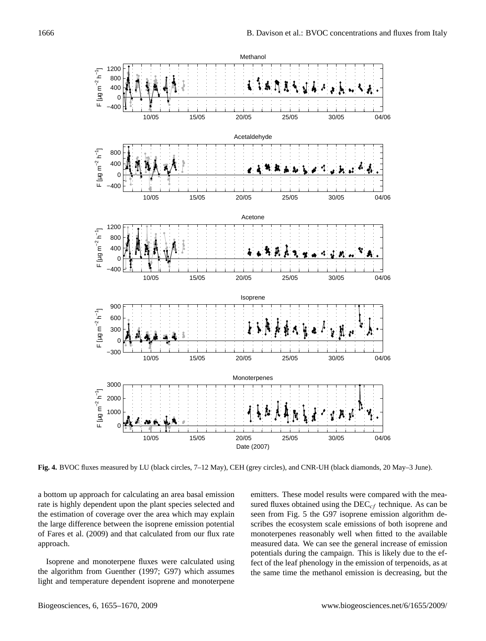

**Fig. 4.** BVOC fluxes measured by LU (black circles, 7–12 May), CEH (grey circles), and CNR-UH (black diamonds, 20 May–3 June).

a bottom up approach for calculating an area basal emission rate is highly dependent upon the plant species selected and the estimation of coverage over the area which may explain the large difference between the isoprene emission potential of Fares et al. (2009) and that calculated from our flux rate approach.

Isoprene and monoterpene fluxes were calculated using the algorithm from Guenther (1997; G97) which assumes light and temperature dependent isoprene and monoterpene

emitters. These model results were compared with the measured fluxes obtained using the  $DEC_{cf}$  technique. As can be seen from Fig. 5 the G97 isoprene emission algorithm describes the ecosystem scale emissions of both isoprene and monoterpenes reasonably well when fitted to the available measured data. We can see the general increase of emission potentials during the campaign. This is likely due to the effect of the leaf phenology in the emission of terpenoids, as at the same time the methanol emission is decreasing, but the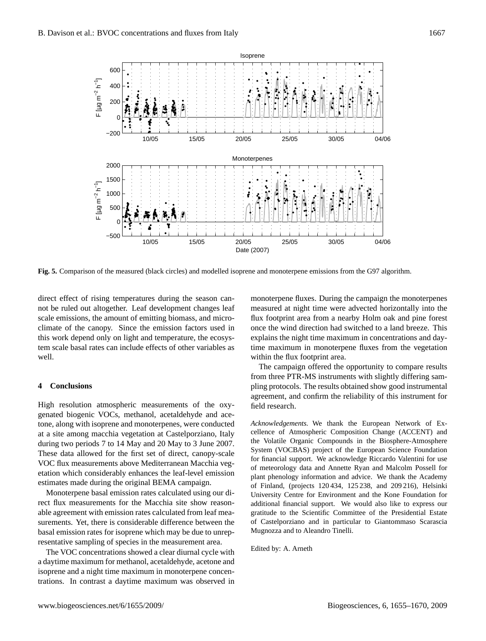

**Fig. 5.** Comparison of the measured (black circles) and modelled isoprene and monoterpene emissions from the G97 algorithm.

direct effect of rising temperatures during the season cannot be ruled out altogether. Leaf development changes leaf scale emissions, the amount of emitting biomass, and microclimate of the canopy. Since the emission factors used in this work depend only on light and temperature, the ecosystem scale basal rates can include effects of other variables as well.

## **4 Conclusions**

High resolution atmospheric measurements of the oxygenated biogenic VOCs, methanol, acetaldehyde and acetone, along with isoprene and monoterpenes, were conducted at a site among macchia vegetation at Castelporziano, Italy during two periods 7 to 14 May and 20 May to 3 June 2007. These data allowed for the first set of direct, canopy-scale VOC flux measurements above Mediterranean Macchia vegetation which considerably enhances the leaf-level emission estimates made during the original BEMA campaign.

Monoterpene basal emission rates calculated using our direct flux measurements for the Macchia site show reasonable agreement with emission rates calculated from leaf measurements. Yet, there is considerable difference between the basal emission rates for isoprene which may be due to unrepresentative sampling of species in the measurement area.

The VOC concentrations showed a clear diurnal cycle with a daytime maximum for methanol, acetaldehyde, acetone and isoprene and a night time maximum in monoterpene concentrations. In contrast a daytime maximum was observed in monoterpene fluxes. During the campaign the monoterpenes measured at night time were advected horizontally into the flux footprint area from a nearby Holm oak and pine forest once the wind direction had switched to a land breeze. This explains the night time maximum in concentrations and daytime maximum in monoterpene fluxes from the vegetation within the flux footprint area.

The campaign offered the opportunity to compare results from three PTR-MS instruments with slightly differing sampling protocols. The results obtained show good instrumental agreement, and confirm the reliability of this instrument for field research.

*Acknowledgements.* We thank the European Network of Excellence of Atmospheric Composition Change (ACCENT) and the Volatile Organic Compounds in the Biosphere-Atmosphere System (VOCBAS) project of the European Science Foundation for financial support. We acknowledge Riccardo Valentini for use of meteorology data and Annette Ryan and Malcolm Possell for plant phenology information and advice. We thank the Academy of Finland, (projects 120 434, 125 238, and 209 216), Helsinki University Centre for Environment and the Kone Foundation for additional financial support. We would also like to express our gratitude to the Scientific Committee of the Presidential Estate of Castelporziano and in particular to Giantommaso Scarascia Mugnozza and to Aleandro Tinelli.

Edited by: A. Arneth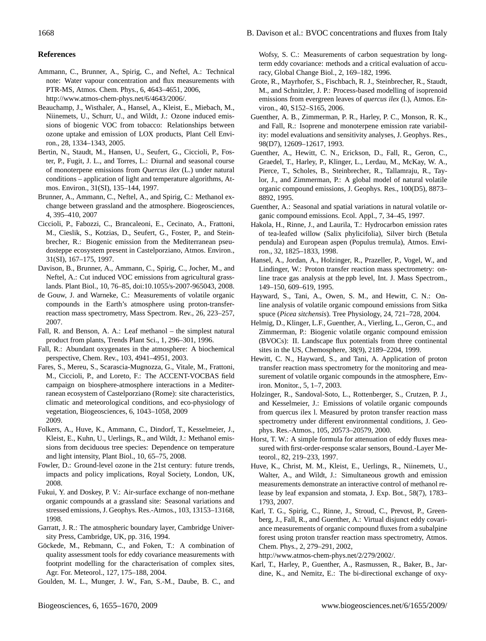# **References**

Ammann, C., Brunner, A., Spirig, C., and Neftel, A.: Technical note: Water vapour concentration and flux measurements with PTR-MS, Atmos. Chem. Phys., 6, 4643–4651, 2006, [http://www.atmos-chem-phys.net/6/4643/2006/.](http://www.atmos-chem-phys.net/6/4643/2006/)

Beauchamp, J., Wisthaler, A., Hansel, A., Kleist, E., Miebach, M., Niinemets, U., Schurr, U., and Wildt, J.: Ozone induced emissions of biogenic VOC from tobacco: Relationships between ozone uptake and emission of LOX products, Plant Cell Environ., 28, 1334–1343, 2005.

Bertin, N., Staudt, M., Hansen, U., Seufert, G., Ciccioli, P., Foster, P., Fugit, J. L., and Torres, L.: Diurnal and seasonal course of monoterpene emissions from *Quercus ilex* (L.) under natural conditions – application of light and temperature algorithms, Atmos. Environ., 31(SI), 135–144, 1997.

Brunner, A., Ammann, C., Neftel, A., and Spirig, C.: Methanol exchange between grassland and the atmosphere. Biogeosciences, 4, 395–410, 2007

Ciccioli, P., Fabozzi, C., Brancaleoni, E., Cecinato, A., Frattoni, M., Cieslik, S., Kotzias, D., Seufert, G., Foster, P., and Steinbrecher, R.: Biogenic emission from the Mediterranean pseudosteppe ecosystem present in Castelporziano, Atmos. Environ., 31(SI), 167–175, 1997.

Davison, B., Brunner, A., Ammann, C., Spirig, C., Jocher, M., and Neftel, A.: Cut induced VOC emissions from agricultural grasslands. Plant Biol., 10, 76–85, doi:10.1055/s-2007-965043, 2008.

de Gouw, J. and Warneke, C.: Measurements of volatile organic compounds in the Earth's atmosphere using proton-transferreaction mass spectrometry, Mass Spectrom. Rev., 26, 223–257, 2007.

Fall, R. and Benson, A. A.: Leaf methanol – the simplest natural product from plants, Trends Plant Sci., 1, 296–301, 1996.

Fall, R.: Abundant oxygenates in the atmosphere: A biochemical perspective, Chem. Rev., 103, 4941–4951, 2003.

Fares, S., Mereu, S., Scarascia-Mugnozza, G., Vitale, M., Frattoni, M., Ciccioli, P., and Loreto, F.: The ACCENT-VOCBAS field campaign on biosphere-atmosphere interactions in a Mediterranean ecosystem of Castelporziano (Rome): site characteristics, climatic and meteorological conditions, and eco-physiology of vegetation, Biogeosciences, 6, 1043–1058, 2009 2009.

Folkers, A., Huve, K., Ammann, C., Dindorf, T., Kesselmeier, J., Kleist, E., Kuhn, U., Uerlings, R., and Wildt, J.: Methanol emissions from deciduous tree species: Dependence on temperature and light intensity, Plant Biol., 10, 65–75, 2008.

Fowler, D.: Ground-level ozone in the 21st century: future trends, impacts and policy implications, Royal Society, London, UK, 2008.

Fukui, Y. and Doskey, P. V.: Air-surface exchange of non-methane organic compounds at a grassland site: Seasonal variations and stressed emissions, J. Geophys. Res.-Atmos., 103, 13153–13168, 1998.

Garratt, J. R.: The atmospheric boundary layer, Cambridge University Press, Cambridge, UK, pp. 316, 1994.

Göckede, M., Rebmann, C., and Foken, T.: A combination of quality assessment tools for eddy covariance measurements with footprint modelling for the characterisation of complex sites, Agr. For. Meteorol., 127, 175–188, 2004.

Goulden, M. L., Munger, J. W., Fan, S.-M., Daube, B. C., and

Wofsy, S. C.: Measurements of carbon sequestration by longterm eddy covariance: methods and a critical evaluation of accuracy, Global Change Biol., 2, 169–182, 1996.

Grote, R., Mayrhofer, S., Fischbach, R. J., Steinbrecher, R., Staudt, M., and Schnitzler, J. P.: Process-based modelling of isoprenoid emissions from evergreen leaves of *quercus ilex* (l.), Atmos. Environ., 40, S152–S165, 2006.

Guenther, A. B., Zimmerman, P. R., Harley, P. C., Monson, R. K., and Fall, R.: Isoprene and monoterpene emission rate variability: model evaluations and sensitivity analyses, J. Geophys. Res., 98(D7), 12609–12617, 1993.

Guenther, A., Hewitt, C. N., Erickson, D., Fall, R., Geron, C., Graedel, T., Harley, P., Klinger, L., Lerdau, M., McKay, W. A., Pierce, T., Scholes, B., Steinbrecher, R., Tallamraju, R., Taylor, J., and Zimmerman, P.: A global model of natural volatile organic compound emissions, J. Geophys. Res., 100(D5), 8873– 8892, 1995.

Guenther, A.: Seasonal and spatial variations in natural volatile organic compound emissions. Ecol. Appl., 7, 34–45, 1997.

Hakola, H., Rinne, J., and Laurila, T.: Hydrocarbon emission rates of tea-leafed willow (Salix phylicifolia), Silver birch (Betula pendula) and European aspen (Populus tremula), Atmos. Environ., 32, 1825–1833, 1998.

Hansel, A., Jordan, A., Holzinger, R., Prazeller, P., Vogel, W., and Lindinger, W.: Proton transfer reaction mass spectrometry: online trace gas analysis at the ppb level, Int. J. Mass Spectrom., 149–150, 609–619, 1995.

Hayward, S., Tani, A., Owen, S. M., and Hewitt, C. N.: Online analysis of volatile organic compound emissions from Sitka spuce (*Picea sitchensis*). Tree Physiology, 24, 721–728, 2004.

Helmig, D., Klinger, L.F., Guenther, A., Vierling, L., Geron, C., and Zimmerman, P.: Biogenic volatile organic compound emission (BVOCs): II. Landscape flux potentials from three continental sites in the US, Chemosphere, 38(9), 2189–2204, 1999.

Hewitt, C. N., Hayward, S., and Tani, A. Application of proton transfer reaction mass spectrometry for the monitoring and measurement of volatile organic compounds in the atmosphere, Environ. Monitor., 5, 1–7, 2003.

Holzinger, R., Sandoval-Soto, L., Rottenberger, S., Crutzen, P. J., and Kesselmeier, J.: Emissions of volatile organic compounds from quercus ilex l. Measured by proton transfer reaction mass spectrometry under different environmental conditions, J. Geophys. Res.-Atmos., 105, 20573–20579, 2000.

Horst, T. W.: A simple formula for attenuation of eddy fluxes measured with first-order-response scalar sensors, Bound.-Layer Meteorol., 82, 219–233, 1997.

Huve, K., Christ, M. M., Kleist, E., Uerlings, R., Niinemets, U., Walter, A., and Wildt, J.: Simultaneous growth and emission measurements demonstrate an interactive control of methanol release by leaf expansion and stomata, J. Exp. Bot., 58(7), 1783– 1793, 2007.

Karl, T. G., Spirig, C., Rinne, J., Stroud, C., Prevost, P., Greenberg, J., Fall, R., and Guenther, A.: Virtual disjunct eddy covariance measurements of organic compound fluxes from a subalpine forest using proton transfer reaction mass spectrometry, Atmos. Chem. Phys., 2, 279–291, 2002,

[http://www.atmos-chem-phys.net/2/279/2002/.](http://www.atmos-chem-phys.net/2/279/2002/)

Karl, T., Harley, P., Guenther, A., Rasmussen, R., Baker, B., Jardine, K., and Nemitz, E.: The bi-directional exchange of oxy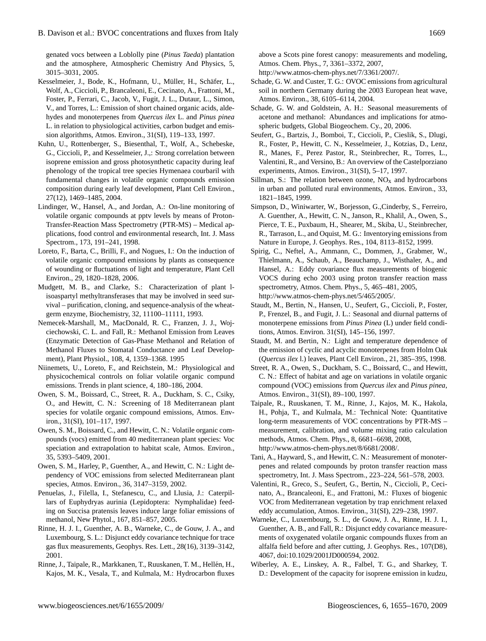genated vocs between a Loblolly pine (*Pinus Taeda*) plantation and the atmosphere, Atmospheric Chemistry And Physics, 5, 3015–3031, 2005.

- Kesselmeier, J., Bode, K., Hofmann, U., Müller, H., Schäfer, L., Wolf, A., Ciccioli, P., Brancaleoni, E., Cecinato, A., Frattoni, M., Foster, P., Ferrari, C., Jacob, V., Fugit, J. L., Dutaur, L., Simon, V., and Torres, L.: Emission of short chained organic acids, aldehydes and monoterpenes from *Quercus ilex* L. and *Pinus pinea* L. in relation to physiological activities, carbon budget and emission algorithms, Atmos. Environ., 31(SI), 119–133, 1997.
- Kuhn, U., Rottenberger, S., Biesenthal, T., Wolf, A., Schebeske, G., Ciccioli, P., and Kesselmeier, J.,: Strong correlation between isoprene emission and gross photosynthetic capacity during leaf phenology of the tropical tree species Hymenaea courbaril with fundamental changes in volatile organic compounds emission composition during early leaf development, Plant Cell Environ., 27(12), 1469–1485, 2004.
- Lindinger, W., Hansel, A., and Jordan, A.: On-line monitoring of volatile organic compounds at pptv levels by means of Proton-Transfer-Reaction Mass Spectrometry (PTR-MS) – Medical applications, food control and environmental research, Int. J. Mass Spectrom., 173, 191–241, 1998.
- Loreto, F., Barta, C., Brilli, F., and Nogues, I.: On the induction of volatile organic compound emissions by plants as consequence of wounding or fluctuations of light and temperature, Plant Cell Environ., 29, 1820–1828, 2006.
- Mudgett, M. B., and Clarke, S.: Characterization of plant lisoaspartyl methyltransferases that may be involved in seed survival – purification, cloning, and sequence-analysis of the wheatgerm enzyme, Biochemistry, 32, 11100–11111, 1993.
- Nemecek-Marshall, M., MacDonald, R. C., Franzen, J. J., Wojciechowski, C. L. and Fall, R.: Methanol Emission from Leaves (Enzymatic Detection of Gas-Phase Methanol and Relation of Methanol Fluxes to Stomatal Conductance and Leaf Development), Plant Physiol., 108, 4, 1359–1368. 1995
- Niinemets, U., Loreto, F., and Reichstein, M.: Physiological and physicochemical controls on foliar volatile organic compund emissions. Trends in plant science, 4, 180–186, 2004.
- Owen, S. M., Boissard, C., Street, R. A., Duckham, S. C., Csiky, O., and Hewitt, C. N.: Screening of 18 Mediterranean plant species for volatile organic compound emissions, Atmos. Environ., 31(SI), 101–117, 1997.
- Owen, S. M., Boissard, C., and Hewitt, C. N.: Volatile organic compounds (vocs) emitted from 40 mediterranean plant species: Voc speciation and extrapolation to habitat scale, Atmos. Environ., 35, 5393–5409, 2001.
- Owen, S. M., Harley, P., Guenther, A., and Hewitt, C. N.: Light dependency of VOC emissions from selected Mediterranean plant species, Atmos. Environ., 36, 3147–3159, 2002.
- Penuelas, J., Filella, I., Stefanescu, C., and Llusia, J.: Caterpillars of Euphydryas aurinia (Lepidoptera: Nymphalidae) feeding on Succisa pratensis leaves induce large foliar emissions of methanol, New Phytol., 167, 851–857, 2005.
- Rinne, H. J. I., Guenther, A. B., Warneke, C., de Gouw, J. A., and Luxembourg, S. L.: Disjunct eddy covariance technique for trace gas flux measurements, Geophys. Res. Lett., 28(16), 3139–3142, 2001.
- Rinne, J., Taipale, R., Markkanen, T., Ruuskanen, T. M., Hellén, H., Kajos, M. K., Vesala, T., and Kulmala, M.: Hydrocarbon fluxes

above a Scots pine forest canopy: measurements and modeling, Atmos. Chem. Phys., 7, 3361–3372, 2007,

- [http://www.atmos-chem-phys.net/7/3361/2007/.](http://www.atmos-chem-phys.net/7/3361/2007/)
- Schade, G. W. and Custer, T. G.: OVOC emissions from agricultural soil in northern Germany during the 2003 European heat wave, Atmos. Environ., 38, 6105–6114, 2004.
- Schade, G. W. and Goldstein, A. H.: Seasonal measurements of acetone and methanol: Abundances and implications for atmospheric budgets, Global Biogeochem. Cy., 20, 2006.
- Seufert, G., Bartzis, J., Bomboi, T., Ciccioli, P., Cieslik, S., Dlugi, R., Foster, P., Hewitt, C. N., Kesselmeier, J., Kotzias, D., Lenz, R., Manes, F., Perez Pastor, R., Steinbrecher, R., Torres, L., Valentini, R., and Versino, B.: An overview of the Castelporziano experiments, Atmos. Environ., 31(SI), 5–17, 1997.
- Sillman, S.: The relation between ozone,  $NO<sub>x</sub>$  and hydrocarbons in urban and polluted rural environments, Atmos. Environ., 33, 1821–1845, 1999.
- Simpson, D., Winiwarter, W., Borjesson, G.,Cinderby, S., Ferreiro, A. Guenther, A., Hewitt, C. N., Janson, R., Khalil, A., Owen, S., Pierce, T. E., Puxbaum, H., Shearer, M., Skiba, U., Steinbrecher, R., Tarrason, L., and Oquist, M. G.: Inventorying emissions from Nature in Europe, J. Geophys. Res., 104, 8113–8152, 1999.
- Spirig, C., Neftel, A., Ammann, C., Dommen, J., Grabmer, W., Thielmann, A., Schaub, A., Beauchamp, J., Wisthaler, A., and Hansel, A.: Eddy covariance flux measurements of biogenic VOCS during echo 2003 using proton transfer reaction mass spectrometry, Atmos. Chem. Phys., 5, 465–481, 2005, [http://www.atmos-chem-phys.net/5/465/2005/.](http://www.atmos-chem-phys.net/5/465/2005/)
- Staudt, M., Bertin, N., Hansen, U., Seufert, G., Ciccioli, P., Foster, P., Frenzel, B., and Fugit, J. L.: Seasonal and diurnal patterns of monoterpene emissions from *Pinus Pinea* (L) under field conditions, Atmos. Environ. 31(SI), 145–156, 1997.
- Staudt, M. and Bertin, N.: Light and temperature dependence of the emission of cyclic and acyclic monoterpenes from Holm Oak (*Quercus ilex* l.) leaves, Plant Cell Environ., 21, 385–395, 1998.
- Street, R. A., Owen, S., Duckham, S. C., Boissard, C., and Hewitt, C. N.: Effect of habitat and age on variations in volatile organic compound (VOC) emissions from *Quercus ilex* and *Pinus pinea*, Atmos. Environ., 31(SI), 89–100, 1997.
- Taipale, R., Ruuskanen, T. M., Rinne, J., Kajos, M. K., Hakola, H., Pohja, T., and Kulmala, M.: Technical Note: Quantitative long-term measurements of VOC concentrations by PTR-MS – measurement, calibration, and volume mixing ratio calculation methods, Atmos. Chem. Phys., 8, 6681–6698, 2008, [http://www.atmos-chem-phys.net/8/6681/2008/.](http://www.atmos-chem-phys.net/8/6681/2008/)
- Tani, A., Hayward, S., and Hewitt, C. N.: Measurement of monoterpenes and related compounds by proton transfer reaction mass spectrometry, Int. J. Mass Spectrom., 223–224, 561–578, 2003.
- Valentini, R., Greco, S., Seufert, G., Bertin, N., Ciccioli, P., Cecinato, A., Brancaleoni, E., and Frattoni, M.: Fluxes of biogenic VOC from Mediterranean vegetation by trap enrichment relaxed eddy accumulation, Atmos. Environ., 31(SI), 229–238, 1997.
- Warneke, C., Luxembourg, S. L., de Gouw, J. A., Rinne, H. J. I., Guenther, A. B., and Fall, R.: Disjunct eddy covariance measurements of oxygenated volatile organic compounds fluxes from an alfalfa field before and after cutting, J. Geophys. Res., 107(D8), 4067, doi:10.1029/2001JD000594, 2002.
- Wiberley, A. E., Linskey, A. R., Falbel, T. G., and Sharkey, T. D.: Development of the capacity for isoprene emission in kudzu,